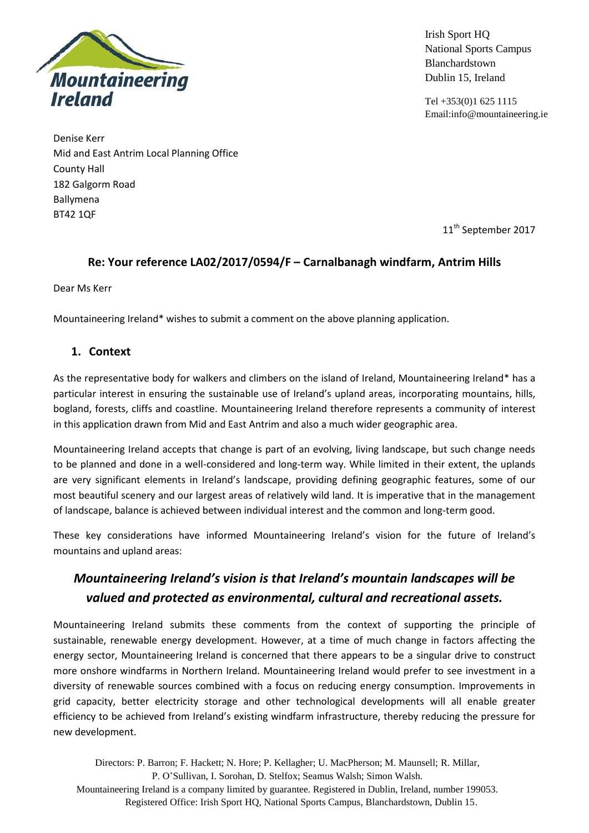

Irish Sport HQ National Sports Campus Blanchardstown Dublin 15, Ireland

Tel +353(0)1 625 1115 Email:info@mountaineering.ie

Denise Kerr Mid and East Antrim Local Planning Office County Hall 182 Galgorm Road Ballymena BT42 1QF

11<sup>th</sup> September 2017

## **Re: Your reference LA02/2017/0594/F – Carnalbanagh windfarm, Antrim Hills**

Dear Ms Kerr

Mountaineering Ireland\* wishes to submit a comment on the above planning application.

## **1. Context**

As the representative body for walkers and climbers on the island of Ireland, Mountaineering Ireland\* has a particular interest in ensuring the sustainable use of Ireland's upland areas, incorporating mountains, hills, bogland, forests, cliffs and coastline. Mountaineering Ireland therefore represents a community of interest in this application drawn from Mid and East Antrim and also a much wider geographic area.

Mountaineering Ireland accepts that change is part of an evolving, living landscape, but such change needs to be planned and done in a well-considered and long-term way. While limited in their extent, the uplands are very significant elements in Ireland's landscape, providing defining geographic features, some of our most beautiful scenery and our largest areas of relatively wild land. It is imperative that in the management of landscape, balance is achieved between individual interest and the common and long-term good.

These key considerations have informed Mountaineering Ireland's vision for the future of Ireland's mountains and upland areas:

# *Mountaineering Ireland's vision is that Ireland's mountain landscapes will be valued and protected as environmental, cultural and recreational assets.*

Mountaineering Ireland submits these comments from the context of supporting the principle of sustainable, renewable energy development. However, at a time of much change in factors affecting the energy sector, Mountaineering Ireland is concerned that there appears to be a singular drive to construct more onshore windfarms in Northern Ireland. Mountaineering Ireland would prefer to see investment in a diversity of renewable sources combined with a focus on reducing energy consumption. Improvements in grid capacity, better electricity storage and other technological developments will all enable greater efficiency to be achieved from Ireland's existing windfarm infrastructure, thereby reducing the pressure for new development.

Directors: P. Barron; F. Hackett; N. Hore; P. Kellagher; U. MacPherson; M. Maunsell; R. Millar, P. O'Sullivan, I. Sorohan, D. Stelfox; Seamus Walsh; Simon Walsh. Mountaineering Ireland is a company limited by guarantee. Registered in Dublin, Ireland, number 199053. Registered Office: Irish Sport HQ, National Sports Campus, Blanchardstown, Dublin 15.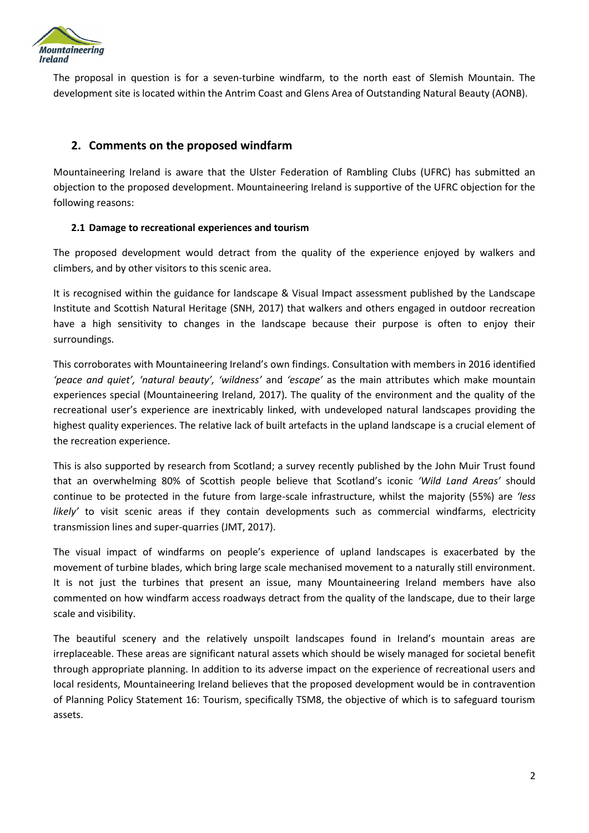

The proposal in question is for a seven-turbine windfarm, to the north east of Slemish Mountain. The development site is located within the Antrim Coast and Glens Area of Outstanding Natural Beauty (AONB).

### **2. Comments on the proposed windfarm**

Mountaineering Ireland is aware that the Ulster Federation of Rambling Clubs (UFRC) has submitted an objection to the proposed development. Mountaineering Ireland is supportive of the UFRC objection for the following reasons:

#### **2.1 Damage to recreational experiences and tourism**

The proposed development would detract from the quality of the experience enjoyed by walkers and climbers, and by other visitors to this scenic area.

It is recognised within the guidance for landscape & Visual Impact assessment published by the Landscape Institute and Scottish Natural Heritage (SNH, 2017) that walkers and others engaged in outdoor recreation have a high sensitivity to changes in the landscape because their purpose is often to enjoy their surroundings.

This corroborates with Mountaineering Ireland's own findings. Consultation with members in 2016 identified *'peace and quiet', 'natural beauty', 'wildness'* and *'escape'* as the main attributes which make mountain experiences special (Mountaineering Ireland, 2017). The quality of the environment and the quality of the recreational user's experience are inextricably linked, with undeveloped natural landscapes providing the highest quality experiences. The relative lack of built artefacts in the upland landscape is a crucial element of the recreation experience.

This is also supported by research from Scotland; a survey recently published by the John Muir Trust found that an overwhelming 80% of Scottish people believe that Scotland's iconic *'Wild Land Areas'* should continue to be protected in the future from large-scale infrastructure, whilst the majority (55%) are *'less likely'* to visit scenic areas if they contain developments such as commercial windfarms, electricity transmission lines and super-quarries (JMT, 2017).

The visual impact of windfarms on people's experience of upland landscapes is exacerbated by the movement of turbine blades, which bring large scale mechanised movement to a naturally still environment. It is not just the turbines that present an issue, many Mountaineering Ireland members have also commented on how windfarm access roadways detract from the quality of the landscape, due to their large scale and visibility.

The beautiful scenery and the relatively unspoilt landscapes found in Ireland's mountain areas are irreplaceable. These areas are significant natural assets which should be wisely managed for societal benefit through appropriate planning. In addition to its adverse impact on the experience of recreational users and local residents, Mountaineering Ireland believes that the proposed development would be in contravention of Planning Policy Statement 16: Tourism, specifically TSM8, the objective of which is to safeguard tourism assets.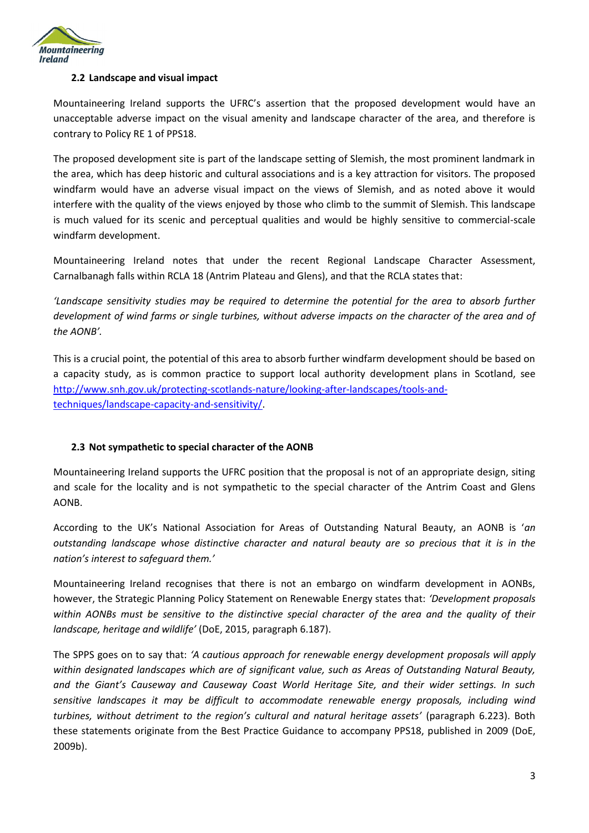

#### **2.2 Landscape and visual impact**

Mountaineering Ireland supports the UFRC's assertion that the proposed development would have an unacceptable adverse impact on the visual amenity and landscape character of the area, and therefore is contrary to Policy RE 1 of PPS18.

The proposed development site is part of the landscape setting of Slemish, the most prominent landmark in the area, which has deep historic and cultural associations and is a key attraction for visitors. The proposed windfarm would have an adverse visual impact on the views of Slemish, and as noted above it would interfere with the quality of the views enjoyed by those who climb to the summit of Slemish. This landscape is much valued for its scenic and perceptual qualities and would be highly sensitive to commercial-scale windfarm development.

Mountaineering Ireland notes that under the recent Regional Landscape Character Assessment, Carnalbanagh falls within RCLA 18 (Antrim Plateau and Glens), and that the RCLA states that:

*'Landscape sensitivity studies may be required to determine the potential for the area to absorb further development of wind farms or single turbines, without adverse impacts on the character of the area and of the AONB'.*

This is a crucial point, the potential of this area to absorb further windfarm development should be based on a capacity study, as is common practice to support local authority development plans in Scotland, see [http://www.snh.gov.uk/protecting-scotlands-nature/looking-after-landscapes/tools-and](http://www.snh.gov.uk/protecting-scotlands-nature/looking-after-landscapes/tools-and-techniques/landscape-capacity-and-sensitivity/)[techniques/landscape-capacity-and-sensitivity/.](http://www.snh.gov.uk/protecting-scotlands-nature/looking-after-landscapes/tools-and-techniques/landscape-capacity-and-sensitivity/)

#### **2.3 Not sympathetic to special character of the AONB**

Mountaineering Ireland supports the UFRC position that the proposal is not of an appropriate design, siting and scale for the locality and is not sympathetic to the special character of the Antrim Coast and Glens AONB.

According to the UK's National Association for Areas of Outstanding Natural Beauty, an AONB is '*an outstanding landscape whose distinctive character and natural beauty are so precious that it is in the nation's interest to safeguard them.'*

Mountaineering Ireland recognises that there is not an embargo on windfarm development in AONBs, however, the Strategic Planning Policy Statement on Renewable Energy states that: *'Development proposals within AONBs must be sensitive to the distinctive special character of the area and the quality of their landscape, heritage and wildlife'* (DoE, 2015, paragraph 6.187).

The SPPS goes on to say that: *'A cautious approach for renewable energy development proposals will apply within designated landscapes which are of significant value, such as Areas of Outstanding Natural Beauty, and the Giant's Causeway and Causeway Coast World Heritage Site, and their wider settings. In such sensitive landscapes it may be difficult to accommodate renewable energy proposals, including wind turbines, without detriment to the region's cultural and natural heritage assets'* (paragraph 6.223). Both these statements originate from the Best Practice Guidance to accompany PPS18, published in 2009 (DoE, 2009b).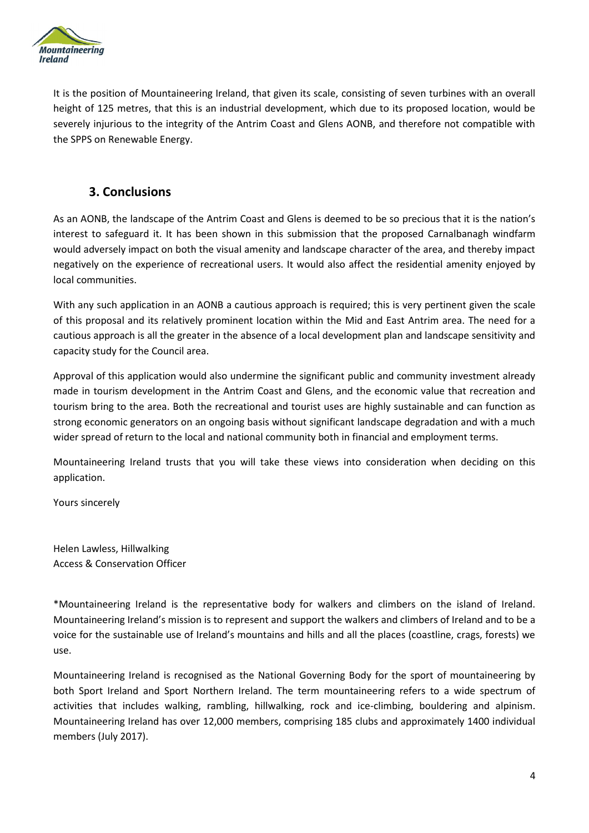

It is the position of Mountaineering Ireland, that given its scale, consisting of seven turbines with an overall height of 125 metres, that this is an industrial development, which due to its proposed location, would be severely injurious to the integrity of the Antrim Coast and Glens AONB, and therefore not compatible with the SPPS on Renewable Energy.

## **3. Conclusions**

As an AONB, the landscape of the Antrim Coast and Glens is deemed to be so precious that it is the nation's interest to safeguard it. It has been shown in this submission that the proposed Carnalbanagh windfarm would adversely impact on both the visual amenity and landscape character of the area, and thereby impact negatively on the experience of recreational users. It would also affect the residential amenity enjoyed by local communities.

With any such application in an AONB a cautious approach is required; this is very pertinent given the scale of this proposal and its relatively prominent location within the Mid and East Antrim area. The need for a cautious approach is all the greater in the absence of a local development plan and landscape sensitivity and capacity study for the Council area.

Approval of this application would also undermine the significant public and community investment already made in tourism development in the Antrim Coast and Glens, and the economic value that recreation and tourism bring to the area. Both the recreational and tourist uses are highly sustainable and can function as strong economic generators on an ongoing basis without significant landscape degradation and with a much wider spread of return to the local and national community both in financial and employment terms.

Mountaineering Ireland trusts that you will take these views into consideration when deciding on this application.

Yours sincerely

Helen Lawless, Hillwalking Access & Conservation Officer

\*Mountaineering Ireland is the representative body for walkers and climbers on the island of Ireland. Mountaineering Ireland's mission is to represent and support the walkers and climbers of Ireland and to be a voice for the sustainable use of Ireland's mountains and hills and all the places (coastline, crags, forests) we use.

Mountaineering Ireland is recognised as the National Governing Body for the sport of mountaineering by both Sport Ireland and Sport Northern Ireland. The term mountaineering refers to a wide spectrum of activities that includes walking, rambling, hillwalking, rock and ice-climbing, bouldering and alpinism. Mountaineering Ireland has over 12,000 members, comprising 185 clubs and approximately 1400 individual members (July 2017).